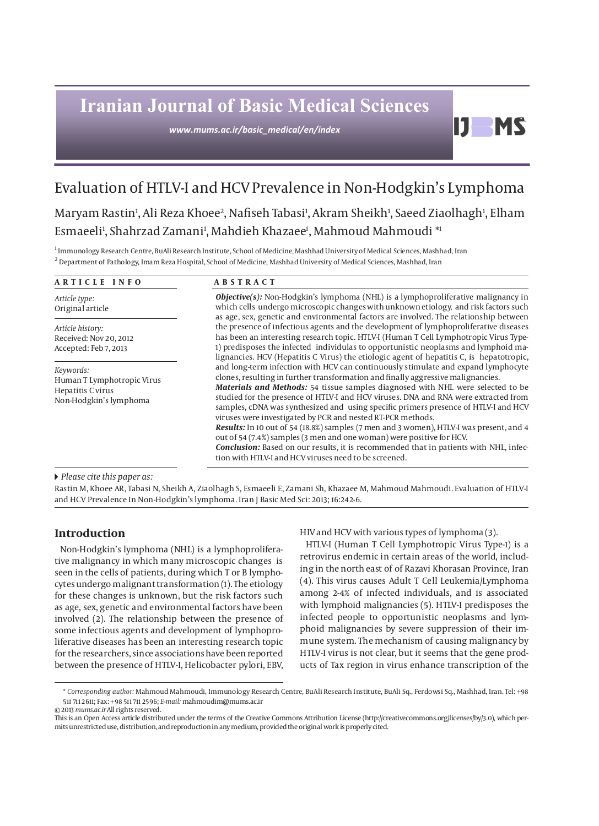# **Iranian Journal of Basic Medical Sciences**

*www.mums.ac.ir/basic\_medical/en/index*

# Evaluation of HTLV-I and HCV Prevalence in Non-Hodgkin's Lymphoma

Maryam Rastin<sup>ı</sup>, Ali Reza Khoee<sup>2</sup>, Nafiseh Tabasi<sup>ı</sup>, Akram Sheikh<sup>ı</sup>, Saeed Ziaolhagh<sup>ı</sup>, Elham Esmaeeli', Shahrzad Zamani', Mahdieh Khazaee', Mahmoud Mahmoudi \*'

<sup>1</sup> Immunology Research Centre, BuAli Research Institute, School of Medicine, Mashhad University of Medical Sciences, Mashhad, Iran  $^2$  Department of Pathology, Imam Reza Hospital, School of Medicine, Mashhad University of Medical Sciences, Mashhad, Iran

| ARTICLE INFO                                                                           | <b>ABSTRACT</b>                                                                                                                                                                                                                                                                                                                                                                                                                                                                                                                                                                                                                                                                                                                                                                                                                                  |  |  |  |  |
|----------------------------------------------------------------------------------------|--------------------------------------------------------------------------------------------------------------------------------------------------------------------------------------------------------------------------------------------------------------------------------------------------------------------------------------------------------------------------------------------------------------------------------------------------------------------------------------------------------------------------------------------------------------------------------------------------------------------------------------------------------------------------------------------------------------------------------------------------------------------------------------------------------------------------------------------------|--|--|--|--|
| Article type:<br>Original article                                                      | <b>Objective(s):</b> Non-Hodgkin's lymphoma (NHL) is a lymphoproliferative malignancy in<br>which cells undergo microscopic changes with unknown etiology, and risk factors such<br>as age, sex, genetic and environmental factors are involved. The relationship between                                                                                                                                                                                                                                                                                                                                                                                                                                                                                                                                                                        |  |  |  |  |
| Article history:<br>Received: Nov 20, 2012<br>Accepted: Feb 7, 2013                    | the presence of infectious agents and the development of lymphoproliferative diseases<br>has been an interesting research topic. HTLV-I (Human T Cell Lymphotropic Virus Type-<br>1) predisposes the infected individulas to opportunistic neoplasms and lymphoid ma-<br>lignancies. HCV (Hepatitis C Virus) the etiologic agent of hepatitis C, is hepatotropic,                                                                                                                                                                                                                                                                                                                                                                                                                                                                                |  |  |  |  |
| Keywords:<br>Human T Lymphotropic Virus<br>Hepatitis C virus<br>Non-Hodgkin's lymphoma | and long-term infection with HCV can continuously stimulate and expand lymphocyte<br>clones, resulting in further transformation and finally aggressive malignancies.<br><b>Materials and Methods:</b> 54 tissue samples diagnosed with NHL were selected to be<br>studied for the presence of HTLV-I and HCV viruses. DNA and RNA were extracted from<br>samples, cDNA was synthesized and using specific primers presence of HTLV-I and HCV<br>viruses were investigated by PCR and nested RT-PCR methods.<br><b>Results:</b> In 10 out of 54 (18.8%) samples (7 men and 3 women), HTLV-I was present, and 4<br>out of 54 (7.4%) samples (3 men and one woman) were positive for HCV.<br><b>Conclusion:</b> Based on our results, it is recommended that in patients with NHL, infec-<br>tion with HTLV-I and HCV viruses need to be screened. |  |  |  |  |

 *Please cite this paper as:* 

Rastin M, Khoee AR, Tabasi N, Sheikh A, Ziaolhagh S, Esmaeeli E, Zamani Sh, Khazaee M, Mahmoud Mahmoudi. Evaluation of HTLV-I and HCV Prevalence In Non-Hodgkin's lymphoma. Iran J Basic Med Sci: 2013; 16:242-6.

# **Introduction**

Non-Hodgkin's lymphoma (NHL) is a lymphoproliferative malignancy in which many microscopic changes is seen in the cells of patients, during which T or B lymphocytes undergo malignant transformation (1). The etiology for these changes is unknown, but the risk factors such as age, sex, genetic and environmental factors have been involved (2). The relationship between the presence of some infectious agents and development of lymphoproliferative diseases has been an interesting research topic for the researchers, since associations have been reported between the presence of HTLV-I, Helicobacter pylori, EBV,

HIV and HCV with various types of lymphoma (3).

HTLV-I (Human T Cell Lymphotropic Virus Type-1) is a retrovirus endemic in certain areas of the world, including in the north east of of Razavi Khorasan Province, Iran (4). This virus causes Adult T Cell Leukemia/Lymphoma among 2-4% of infected individuals, and is associated with lymphoid malignancies (5). HTLV-I predisposes the infected people to opportunistic neoplasms and lymphoid malignancies by severe suppression of their immune system. The mechanism of causing malignancy by HTLV-I virus is not clear, but it seems that the gene products of Tax region in virus enhance transcription of the

DI

**MS** 

<sup>\*</sup> *Corresponding author:* Mahmoud Mahmoudi, Immunology Research Centre, BuAli Research Institute, BuAli Sq., Ferdowsi Sq., Mashhad, Iran. Tel: +98 511 711 2611; Fax: +98 511 711 2596; *E-mail:* mahmoudim@mums.ac.ir

<sup>© 2013</sup> *mums.ac.ir* All rights reserved.

This is an Open Access article distributed under the terms of the Creative Commons Attribution License (http://creativecommons.org/licenses/by/3.0), which permits unrestricted use, distribution, and reproduction in any medium, provided the original work is properly cited.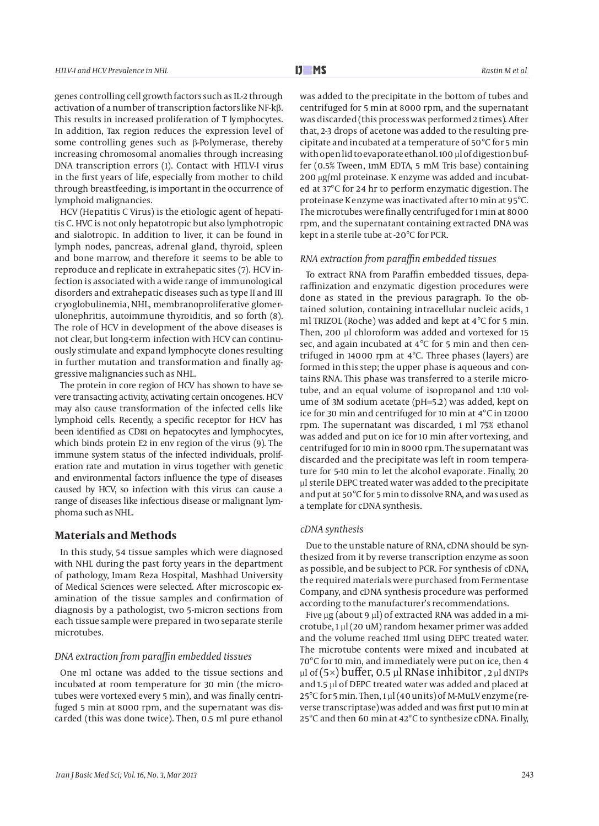genes controlling cell growth factors such as IL-2 through activation of a number of transcription factors like NF-kβ. This results in increased proliferation of T lymphocytes. In addition, Tax region reduces the expression level of some controlling genes such as β-Polymerase, thereby increasing chromosomal anomalies through increasing DNA transcription errors (1). Contact with HTLV-I virus in the first years of life, especially from mother to child through breastfeeding, is important in the occurrence of lymphoid malignancies.

HCV (Hepatitis C Virus) is the etiologic agent of hepatitis C. HVC is not only hepatotropic but also lymphotropic and sialotropic. In addition to liver, it can be found in lymph nodes, pancreas, adrenal gland, thyroid, spleen and bone marrow, and therefore it seems to be able to reproduce and replicate in extrahepatic sites (7). HCV infection is associated with a wide range of immunological disorders and extrahepatic diseases such as type II and III cryoglobulinemia, NHL, membranoproliferative glomerulonephritis, autoimmune thyroiditis, and so forth (8). The role of HCV in development of the above diseases is not clear, but long-term infection with HCV can continuously stimulate and expand lymphocyte clones resulting in further mutation and transformation and finally aggressive malignancies such as NHL.

The protein in core region of HCV has shown to have severe transacting activity, activating certain oncogenes. HCV may also cause transformation of the infected cells like lymphoid cells. Recently, a specific receptor for HCV has been identified as CD81 on hepatocytes and lymphocytes, which binds protein E2 in env region of the virus (9). The immune system status of the infected individuals, proliferation rate and mutation in virus together with genetic and environmental factors influence the type of diseases caused by HCV, so infection with this virus can cause a range of diseases like infectious disease or malignant lymphoma such as NHL.

## **Materials and Methods**

In this study, 54 tissue samples which were diagnosed with NHL during the past forty years in the department of pathology, Imam Reza Hospital, Mashhad University of Medical Sciences were selected. After microscopic examination of the tissue samples and confirmation of diagnosis by a pathologist, two 5-micron sections from each tissue sample were prepared in two separate sterile microtubes.

#### *DNA extraction from paraffin embedded tissues*

One ml octane was added to the tissue sections and incubated at room temperature for 30 min (the microtubes were vortexed every 5 min), and was finally centrifuged 5 min at 8000 rpm, and the supernatant was discarded (this was done twice). Then, 0.5 ml pure ethanol was added to the precipitate in the bottom of tubes and centrifuged for 5 min at 8000 rpm, and the supernatant was discarded (this process was performed 2 times). After that, 2-3 drops of acetone was added to the resulting precipitate and incubated at a temperature of 50°C for 5 min with open lid to evaporate ethanol. 100 µl of digestion buffer (0.5% Tween, 1mM EDTA, 5 mM Tris base) containing 200 μg/ml proteinase. K enzyme was added and incubated at 37°C for 24 hr to perform enzymatic digestion. The proteinase K enzyme was inactivated after 10 min at 95°C. The microtubes were finally centrifuged for 1 min at 8000 rpm, and the supernatant containing extracted DNA was kept in a sterile tube at -20°C for PCR.

#### *RNA extraction from paraffin embedded tissues*

To extract RNA from Paraffin embedded tissues, deparaffinization and enzymatic digestion procedures were done as stated in the previous paragraph. To the obtained solution, containing intracellular nucleic acids, 1 ml TRIZOL (Roche) was added and kept at 4°C for 5 min. Then, 200 µl chloroform was added and vortexed for 15 sec, and again incubated at 4°C for 5 min and then centrifuged in 14000 rpm at 4°C. Three phases (layers) are formed in this step; the upper phase is aqueous and contains RNA. This phase was transferred to a sterile microtube, and an equal volume of isopropanol and 1:10 volume of 3M sodium acetate (pH=5.2) was added, kept on ice for 30 min and centrifuged for 10 min at 4°C in 12000 rpm. The supernatant was discarded, 1 ml 75% ethanol was added and put on ice for 10 min after vortexing, and centrifuged for 10 min in 8000 rpm. The supernatant was discarded and the precipitate was left in room temperature for 5-10 min to let the alcohol evaporate. Finally, 20 µl sterile DEPC treated water was added to the precipitate and put at 50°C for 5 min to dissolve RNA, and was used as a template for cDNA synthesis.

#### *cDNA synthesis*

Due to the unstable nature of RNA, cDNA should be synthesized from it by reverse transcription enzyme as soon as possible, and be subject to PCR. For synthesis of cDNA, the required materials were purchased from Fermentase Company, and cDNA synthesis procedure was performed according to the manufacturer's recommendations.

Five  $\mu$ g (about 9  $\mu$ l) of extracted RNA was added in a microtube, 1 µl (20 uM) random hexamer primer was added and the volume reached 11ml using DEPC treated water. The microtube contents were mixed and incubated at 70°C for 10 min, and immediately were put on ice, then 4  $\mu$ l of (5×) buffer, 0.5  $\mu$ l RNase inhibitor, 2  $\mu$ l dNTPs and 1.5 µl of DEPC treated water was added and placed at  $25^{\circ}$ C for 5 min. Then, 1 µl (40 units) of M-MuLV enzyme (reverse transcriptase) was added and was first put 10 min at 25°C and then 60 min at 42°C to synthesize cDNA. Finally,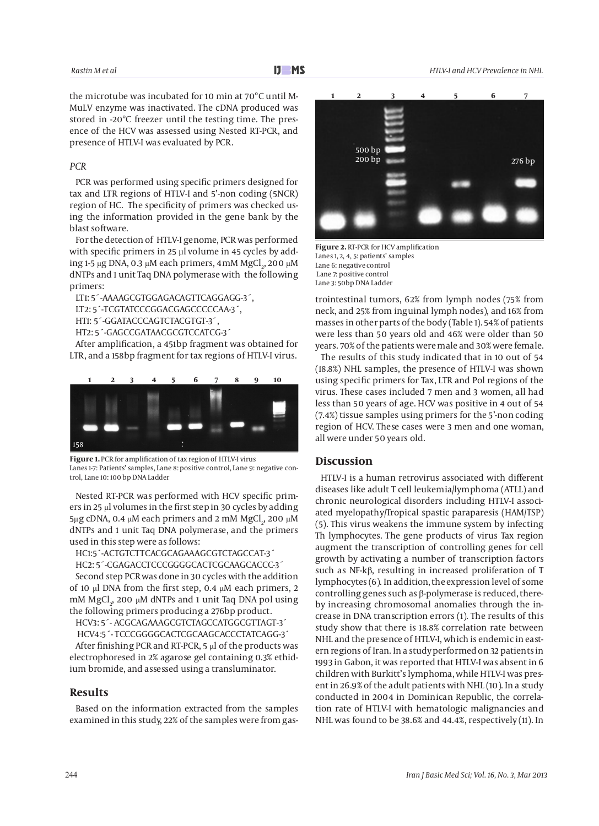the microtube was incubated for 10 min at 70°C until M-MuLV enzyme was inactivated. The cDNA produced was stored in -20°C freezer until the testing time. The presence of the HCV was assessed using Nested RT-PCR, and presence of HTLV-I was evaluated by PCR.

#### *PCR*

PCR was performed using specific primers designed for tax and LTR regions of HTLV-I and 5'-non coding (5NCR) region of HC. The specificity of primers was checked using the information provided in the gene bank by the blast software.

For the detection of HTLV-I genome, PCR was performed with specific primers in 25 µl volume in 45 cycles by adding 1-5 μg DNA, 0.3 μM each primers, 4mM MgCl<sub>2</sub>, 200 μM dNTPs and 1 unit Taq DNA polymerase with the following primers:

LT1: 5´-AAAAGCGTGGAGACAGTTCAGGAGG-3´, LT2: 5´-TCGTATCCCGGACGAGCCCCCAA-3´, HT1: 5´-GGATACCCAGTCTACGTGT-3´, HT2: 5´-GAGCCGATAACGCGTCCATCG-3´

After amplification, a 451bp fragment was obtained for LTR, and a 158bp fragment for tax regions of HTLV-I virus.



**Figure 1.** PCR for amplification of tax region of HTLV-I virus Lanes 1-7: Patients' samples, Lane 8: positive control, Lane 9: negative control, Lane 10: 100 bp DNA Ladder

Nested RT-PCR was performed with HCV specific primers in 25 μl volumes in the first step in 30 cycles by adding 5μg cDNA, 0.4 μM each primers and 2 mM MgCl<sub>2</sub>, 200 μM dNTPs and 1 unit Taq DNA polymerase, and the primers used in this step were as follows:

HC1:5´-ACTGTCTTCACGCAGAAAGCGTCTAGCCAT-3´

HC2: 5´-CGAGACCTCCCGGGGCACTCGCAAGCACCC-3´ Second step PCR was done in 30 cycles with the addition of 10 μl DNA from the first step, 0.4 μM each primers, 2 mM MgCl $_2$ , 200  $\mu$ M dNTPs and 1 unit Taq DNA pol using the following primers producing a 276bp product.

HCV3: 5´- ACGCAGAAAGCGTCTAGCCATGGCGTTAGT-3´

 HCV4:5´- TCCCGGGGCACTCGCAAGCACCCTATCAGG-3´ After finishing PCR and RT-PCR, 5 μl of the products was electrophoresed in 2% agarose gel containing 0.3% ethidium bromide, and assessed using a transluminator.

#### **Results**

Based on the information extracted from the samples examined in this study, 22% of the samples were from gas-



**Figure 2.** RT-PCR for HCV amplification Lanes 1, 2, 4, 5: patients' samples Lane 6: negative control Lane 7: positive control Lane 3: 50bp DNA Ladder

trointestinal tumors, 62% from lymph nodes (75% from neck, and 25% from inguinal lymph nodes), and 16% from masses in other parts of the body (Table 1). 54% of patients were less than 50 years old and 46% were older than 50 years. 70% of the patients were male and 30% were female.

The results of this study indicated that in 10 out of 54 (18.8%) NHL samples, the presence of HTLV-I was shown using specific primers for Tax, LTR and Pol regions of the virus. These cases included 7 men and 3 women, all had less than 50 years of age. HCV was positive in 4 out of 54 (7.4%) tissue samples using primers for the 5'-non coding region of HCV. These cases were 3 men and one woman, all were under 50 years old.

#### **Discussion**

HTLV-I is a human retrovirus associated with different diseases like adult T cell leukemia/lymphoma (ATLL) and chronic neurological disorders including HTLV-I associated myelopathy/Tropical spastic paraparesis (HAM/TSP) (5). This virus weakens the immune system by infecting Th lymphocytes. The gene products of virus Tax region augment the transcription of controlling genes for cell growth by activating a number of transcription factors such as NF-kβ, resulting in increased proliferation of T lymphocytes (6). In addition, the expression level of some controlling genes such as β-polymerase is reduced, thereby increasing chromosomal anomalies through the increase in DNA transcription errors (1). The results of this study show that there is 18.8% correlation rate between NHL and the presence of HTLV-I, which is endemic in eastern regions of Iran. In a study performed on 32 patients in 1993 in Gabon, it was reported that HTLV-I was absent in 6 children with Burkitt's lymphoma, while HTLV-I was present in 26.9% of the adult patients with NHL (10). In a study conducted in 2004 in Dominican Republic, the correlation rate of HTLV-I with hematologic malignancies and NHL was found to be 38.6% and 44.4%, respectively (11). In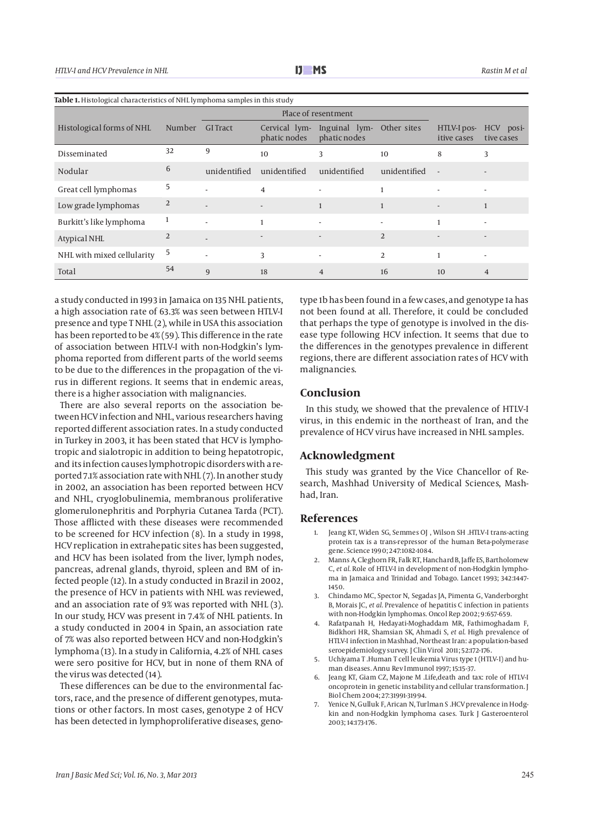| Table 1. Histological characteristics of NHL lymphoma samples in this study |                |                 |                               |                               |                          |                            |                         |  |  |
|-----------------------------------------------------------------------------|----------------|-----------------|-------------------------------|-------------------------------|--------------------------|----------------------------|-------------------------|--|--|
|                                                                             |                |                 | Place of resentment           |                               |                          |                            |                         |  |  |
| Histological forms of NHL                                                   | Number         | <b>GI</b> Tract | Cervical lym-<br>phatic nodes | Inguinal lym-<br>phatic nodes | Other sites              | HTLV-I pos-<br>itive cases | HCV posi-<br>tive cases |  |  |
| Disseminated                                                                | 32             | 9               | 10                            | 3                             | 10                       | 8                          | 3                       |  |  |
| Nodular                                                                     | 6              | unidentified    | unidentified                  | unidentified                  | unidentified             | $\overline{\phantom{a}}$   |                         |  |  |
| Great cell lymphomas                                                        | 5              |                 | $\overline{4}$                |                               |                          |                            |                         |  |  |
| Low grade lymphomas                                                         | 2              |                 |                               | 1                             |                          | $\overline{\phantom{a}}$   |                         |  |  |
| Burkitt's like lymphoma                                                     | 1              |                 | $\mathbf{1}$                  |                               | $\overline{\phantom{a}}$ | 1                          |                         |  |  |
| <b>Atypical NHL</b>                                                         | $\overline{2}$ |                 | $\overline{\phantom{a}}$      |                               | $\overline{2}$           |                            |                         |  |  |
| NHL with mixed cellularity                                                  | 5              |                 | 3                             |                               | 2                        | $\mathbf{1}$               |                         |  |  |
| Total                                                                       | 54             | 9               | 18                            | $\overline{4}$                | 16                       | 10                         | $\overline{4}$          |  |  |

a study conducted in 1993 in Jamaica on 135 NHL patients, a high association rate of 63.3% was seen between HTLV-I presence and type T NHL (2), while in USA this association has been reported to be 4% (59). This difference in the rate of association between HTLV-I with non-Hodgkin's lymphoma reported from different parts of the world seems to be due to the differences in the propagation of the virus in different regions. It seems that in endemic areas, there is a higher association with malignancies.

There are also several reports on the association between HCV infection and NHL, various researchers having reported different association rates. In a study conducted in Turkey in 2003, it has been stated that HCV is lymphotropic and sialotropic in addition to being hepatotropic, and its infection causes lymphotropic disorders with a reported 7.1% association rate with NHL (7). In another study in 2002, an association has been reported between HCV and NHL, cryoglobulinemia, membranous proliferative glomerulonephritis and Porphyria Cutanea Tarda (PCT). Those afflicted with these diseases were recommended to be screened for HCV infection (8). In a study in 1998, HCV replication in extrahepatic sites has been suggested, and HCV has been isolated from the liver, lymph nodes, pancreas, adrenal glands, thyroid, spleen and BM of infected people (12). In a study conducted in Brazil in 2002, the presence of HCV in patients with NHL was reviewed, and an association rate of 9% was reported with NHL (3). In our study, HCV was present in 7.4% of NHL patients. In a study conducted in 2004 in Spain, an association rate of 7% was also reported between HCV and non-Hodgkin's lymphoma (13). In a study in California, 4.2% of NHL cases were sero positive for HCV, but in none of them RNA of the virus was detected (14).

These differences can be due to the environmental factors, race, and the presence of different genotypes, mutations or other factors. In most cases, genotype 2 of HCV has been detected in lymphoproliferative diseases, genotype 1b has been found in a few cases, and genotype 1a has not been found at all. Therefore, it could be concluded that perhaps the type of genotype is involved in the disease type following HCV infection. It seems that due to the differences in the genotypes prevalence in different regions, there are different association rates of HCV with malignancies.

### **Conclusion**

In this study, we showed that the prevalence of HTLV-I virus, in this endemic in the northeast of Iran, and the prevalence of HCV virus have increased in NHL samples.

#### **Acknowledgment**

This study was granted by the Vice Chancellor of Research, Mashhad University of Medical Sciences, Mashhad, Iran.

#### **References**

- 1. Jeang KT, Widen SG, Semmes OJ , Wilson SH .HTLV-I trans-acting protein tax is a trans-repressor of the human Beta-polymerase gene. Science 1990; 247:1082-1084.
- 2. Manns A, Cleghorn FR, Falk RT, Hanchard B, Jaffe ES, Bartholomew C, *et al.* Role of HTLV-I in development of non-Hodgkin lymphoma in Jamaica and Trinidad and Tobago. Lancet 1993; 342:1447- 1450.
- 3. Chindamo MC, Spector N, Segadas JA, Pimenta G, Vanderborght B, Morais JC, *et al.* Prevalence of hepatitis C infection in patients with non-Hodgkin lymphomas. Oncol Rep 2002; 9:657-659.
- 4. Rafatpanah H, Hedayati-Moghaddam MR, Fathimoghadam F, Bidkhori HR, Shamsian SK, Ahmadi S, *et al*. High prevalence of HTLV-I infection in Mashhad, Northeast Iran: a population-based seroepidemiology survey. J Clin Virol 2011; 52:172-176.
- 5. Uchiyama T .Human T cell leukemia Virus type 1 (HTLV-I) and human diseases. Annu Rev Immunol 1997; 15:15-37.
- Jeang KT, Giam CZ, Majone M .Life,death and tax: role of HTLV-I oncoprotein in genetic instability and cellular transformation. J Biol Chem 2004; 27:31991-31994.
- 7. Yenice N, Gulluk F, Arican N, Turlman S .HCV prevalence in Hodgkin and non-Hodgkin lymphoma cases. Turk J Gasteroenterol 2003; 14:173-176.